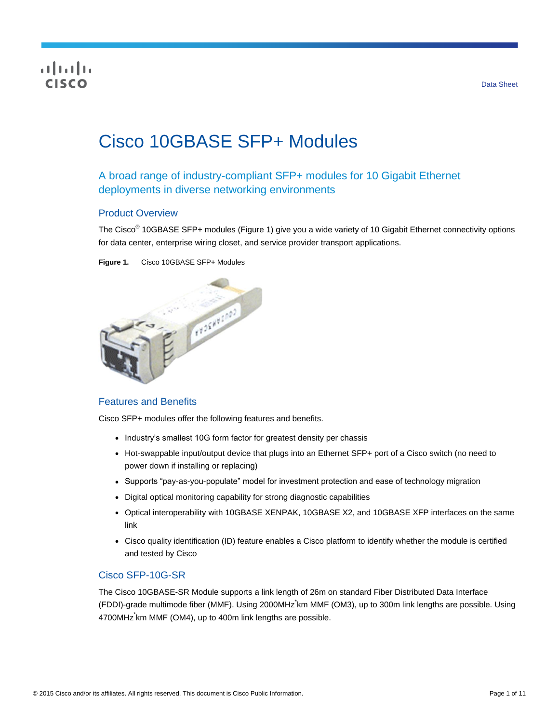## CISCO

# Cisco 10GBASE SFP+ Modules

## A broad range of industry-compliant SFP+ modules for 10 Gigabit Ethernet deployments in diverse networking environments

## Product Overview

The Cisco<sup>®</sup> 10GBASE SFP+ modules (Figure 1) give you a wide variety of 10 Gigabit Ethernet connectivity options for data center, enterprise wiring closet, and service provider transport applications.

**Figure 1.** Cisco 10GBASE SFP+ Modules



## Features and Benefits

Cisco SFP+ modules offer the following features and benefits.

- Industry's smallest 10G form factor for greatest density per chassis
- Hot-swappable input/output device that plugs into an Ethernet SFP+ port of a Cisco switch (no need to power down if installing or replacing)
- Supports "pay-as-you-populate" model for investment protection and ease of technology migration
- Digital optical monitoring capability for strong diagnostic capabilities
- Optical interoperability with 10GBASE XENPAK, 10GBASE X2, and 10GBASE XFP interfaces on the same link
- Cisco quality identification (ID) feature enables a Cisco platform to identify whether the module is certified and tested by Cisco

## Cisco SFP-10G-SR

The Cisco 10GBASE-SR Module supports a link length of 26m on standard Fiber Distributed Data Interface (FDDI)-grade multimode fiber (MMF). Using 2000MHz\* km MMF (OM3), up to 300m link lengths are possible. Using 4700MHz\* km MMF (OM4), up to 400m link lengths are possible.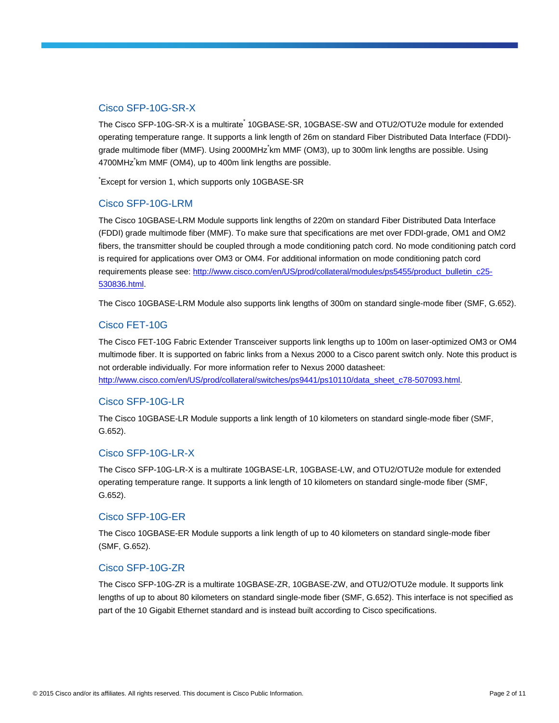## Cisco SFP-10G-SR-X

The Cisco SFP-10G-SR-X is a multirate<sup>\*</sup> 10GBASE-SR, 10GBASE-SW and OTU2/OTU2e module for extended operating temperature range. It supports a link length of 26m on standard Fiber Distributed Data Interface (FDDI) grade multimode fiber (MMF). Using 2000MHz km MMF (OM3), up to 300m link lengths are possible. Using 4700MHz\* km MMF (OM4), up to 400m link lengths are possible.

\*Except for version 1, which supports only 10GBASE-SR

### Cisco SFP-10G-LRM

The Cisco 10GBASE-LRM Module supports link lengths of 220m on standard Fiber Distributed Data Interface (FDDI) grade multimode fiber (MMF). To make sure that specifications are met over FDDI-grade, OM1 and OM2 fibers, the transmitter should be coupled through a mode conditioning patch cord. No mode conditioning patch cord is required for applications over OM3 or OM4. For additional information on mode conditioning patch cord requirements please see: [http://www.cisco.com/en/US/prod/collateral/modules/ps5455/product\\_bulletin\\_c25-](http://www.cisco.com/en/US/prod/collateral/modules/ps5455/product_bulletin_c25-530836.html) [530836.html.](http://www.cisco.com/en/US/prod/collateral/modules/ps5455/product_bulletin_c25-530836.html)

The Cisco 10GBASE-LRM Module also supports link lengths of 300m on standard single-mode fiber (SMF, G.652).

## Cisco FET-10G

The Cisco FET-10G Fabric Extender Transceiver supports link lengths up to 100m on laser-optimized OM3 or OM4 multimode fiber. It is supported on fabric links from a Nexus 2000 to a Cisco parent switch only. Note this product is not orderable individually. For more information refer to Nexus 2000 datasheet: [http://www.cisco.com/en/US/prod/collateral/switches/ps9441/ps10110/data\\_sheet\\_c78-507093.html.](http://www.cisco.com/en/US/prod/collateral/switches/ps9441/ps10110/data_sheet_c78-507093.html)

### Cisco SFP-10G-LR

The Cisco 10GBASE-LR Module supports a link length of 10 kilometers on standard single-mode fiber (SMF, G.652).

## Cisco SFP-10G-LR-X

The Cisco SFP-10G-LR-X is a multirate 10GBASE-LR, 10GBASE-LW, and OTU2/OTU2e module for extended operating temperature range. It supports a link length of 10 kilometers on standard single-mode fiber (SMF, G.652).

## Cisco SFP-10G-ER

The Cisco 10GBASE-ER Module supports a link length of up to 40 kilometers on standard single-mode fiber (SMF, G.652).

### Cisco SFP-10G-ZR

The Cisco SFP-10G-ZR is a multirate 10GBASE-ZR, 10GBASE-ZW, and OTU2/OTU2e module. It supports link lengths of up to about 80 kilometers on standard single-mode fiber (SMF, G.652). This interface is not specified as part of the 10 Gigabit Ethernet standard and is instead built according to Cisco specifications.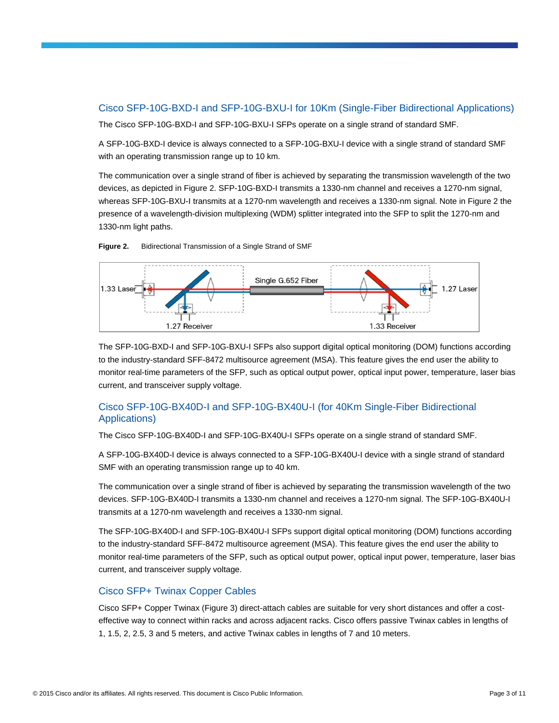## Cisco SFP-10G-BXD-I and SFP-10G-BXU-I for 10Km (Single-Fiber Bidirectional Applications)

The Cisco SFP-10G-BXD-I and SFP-10G-BXU-I SFPs operate on a single strand of standard SMF.

A SFP-10G-BXD-I device is always connected to a SFP-10G-BXU-I device with a single strand of standard SMF with an operating transmission range up to 10 km.

The communication over a single strand of fiber is achieved by separating the transmission wavelength of the two devices, as depicted in Figure 2. SFP-10G-BXD-I transmits a 1330-nm channel and receives a 1270-nm signal, whereas SFP-10G-BXU-I transmits at a 1270-nm wavelength and receives a 1330-nm signal. Note in Figure 2 the presence of a wavelength-division multiplexing (WDM) splitter integrated into the SFP to split the 1270-nm and 1330-nm light paths.



**Figure 2.** Bidirectional Transmission of a Single Strand of SMF



The SFP-10G-BXD-I and SFP-10G-BXU-I SFPs also support digital optical monitoring (DOM) functions according to the industry-standard SFF-8472 multisource agreement (MSA). This feature gives the end user the ability to monitor real-time parameters of the SFP, such as optical output power, optical input power, temperature, laser bias current, and transceiver supply voltage.

## Cisco SFP-10G-BX40D-I and SFP-10G-BX40U-I (for 40Km Single-Fiber Bidirectional Applications)

The Cisco SFP-10G-BX40D-I and SFP-10G-BX40U-I SFPs operate on a single strand of standard SMF.

A SFP-10G-BX40D-I device is always connected to a SFP-10G-BX40U-I device with a single strand of standard SMF with an operating transmission range up to 40 km.

The communication over a single strand of fiber is achieved by separating the transmission wavelength of the two devices. SFP-10G-BX40D-I transmits a 1330-nm channel and receives a 1270-nm signal. The SFP-10G-BX40U-I transmits at a 1270-nm wavelength and receives a 1330-nm signal.

The SFP-10G-BX40D-I and SFP-10G-BX40U-I SFPs support digital optical monitoring (DOM) functions according to the industry-standard SFF-8472 multisource agreement (MSA). This feature gives the end user the ability to monitor real-time parameters of the SFP, such as optical output power, optical input power, temperature, laser bias current, and transceiver supply voltage.

## Cisco SFP+ Twinax Copper Cables

Cisco SFP+ Copper Twinax (Figure 3) direct-attach cables are suitable for very short distances and offer a costeffective way to connect within racks and across adjacent racks. Cisco offers passive Twinax cables in lengths of 1, 1.5, 2, 2.5, 3 and 5 meters, and active Twinax cables in lengths of 7 and 10 meters.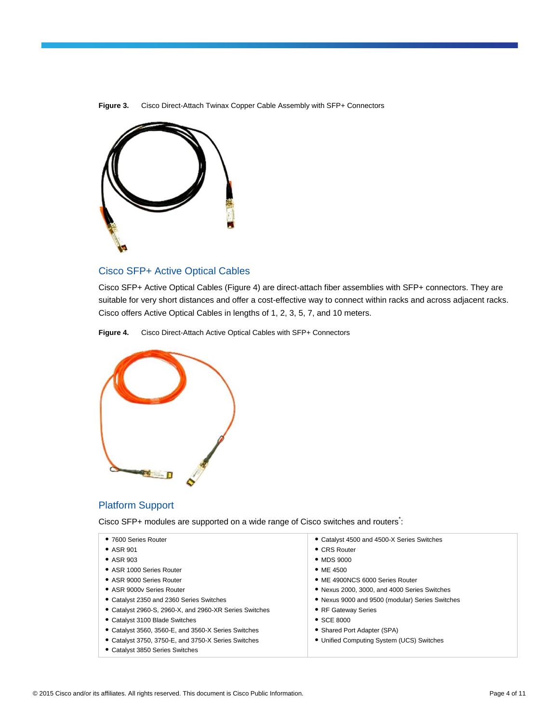

**Figure 3.** Cisco Direct-Attach Twinax Copper Cable Assembly with SFP+ Connectors

## Cisco SFP+ Active Optical Cables

Cisco SFP+ Active Optical Cables (Figure 4) are direct-attach fiber assemblies with SFP+ connectors. They are suitable for very short distances and offer a cost-effective way to connect within racks and across adjacent racks. Cisco offers Active Optical Cables in lengths of 1, 2, 3, 5, 7, and 10 meters.

**Figure 4.** Cisco Direct-Attach Active Optical Cables with SFP+ Connectors



## Platform Support

Cisco SFP+ modules are supported on a wide range of Cisco switches and routers:

- 7600 Series Router
- ASR 901
- ASR 903
- ASR 1000 Series Router
- ASR 9000 Series Router
- ASR 9000v Series Router
- Catalyst 2350 and 2360 Series Switches
- Catalyst 2960-S, 2960-X, and 2960-XR Series Switches
- Catalyst 3100 Blade Switches
- Catalyst 3560, 3560-E, and 3560-X Series Switches
- Catalyst 3750, 3750-E, and 3750-X Series Switches
- Catalyst 3850 Series Switches
- Catalyst 4500 and 4500-X Series Switches
- CRS Router
- MDS 9000
- ME 4500
- 
- ME 4900NCS 6000 Series Router
- Nexus 2000, 3000, and 4000 Series Switches
- Nexus 9000 and 9500 (modular) Series Switches
- RF Gateway Series
- SCE 8000
- Shared Port Adapter (SPA)
- Unified Computing System (UCS) Switches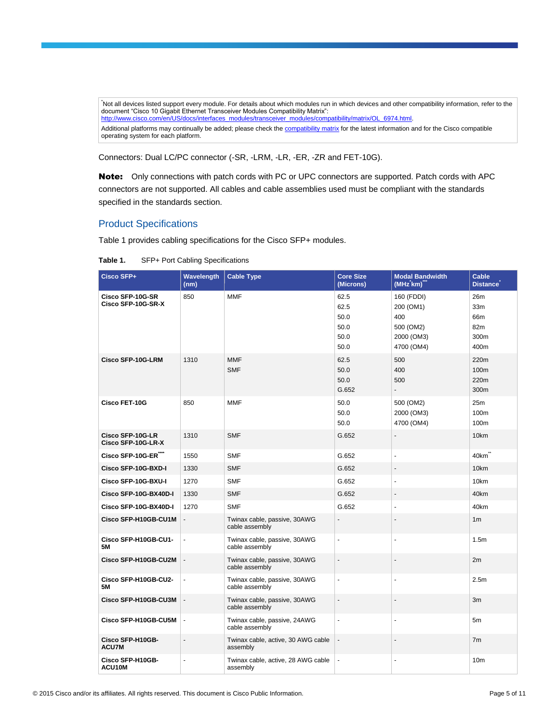\*Not all devices listed support every module. For details about which modules run in which devices and other compatibility information, refer to the document "Cisco 10 Gigabit Ethernet Transceiver Modules Compatibility Matrix":<br>http://www.cisco.com/en/US/docs/interfaces\_modules/transceiver\_modules/com co.com/en/US/docs/interfaces\_modules/transceiver\_modules/compatibility/matrix/OL\_6974.html. Additional platforms may continually be added; please check th[e compatibility matrix](http://www.cisco.com/en/US/docs/interfaces_modules/transceiver_modules/compatibility/matrix/OL_6981.pdf.) for the latest information and for the Cisco compatible operating system for each platform.

Connectors: Dual LC/PC connector (-SR, -LRM, -LR, -ER, -ZR and FET-10G).

Note: Only connections with patch cords with PC or UPC connectors are supported. Patch cords with APC connectors are not supported. All cables and cable assemblies used must be compliant with the standards specified in the standards section.

### Product Specifications

Table 1 provides cabling specifications for the Cisco SFP+ modules.

| Table 1. |  | SFP+ Port Cabling Specifications |
|----------|--|----------------------------------|
|          |  |                                  |

| Cisco SFP+                             | Wavelength<br>(nm)       | <b>Cable Type</b>                              | <b>Core Size</b><br>(Microns)                | <b>Modal Bandwidth</b><br>(MHz km)                                      | Cable<br><b>Distance</b>                             |
|----------------------------------------|--------------------------|------------------------------------------------|----------------------------------------------|-------------------------------------------------------------------------|------------------------------------------------------|
| Cisco SFP-10G-SR<br>Cisco SFP-10G-SR-X | 850                      | <b>MMF</b>                                     | 62.5<br>62.5<br>50.0<br>50.0<br>50.0<br>50.0 | 160 (FDDI)<br>200 (OM1)<br>400<br>500 (OM2)<br>2000 (OM3)<br>4700 (OM4) | 26m<br>33 <sub>m</sub><br>66m<br>82m<br>300m<br>400m |
| <b>Cisco SFP-10G-LRM</b>               | 1310                     | <b>MMF</b><br><b>SMF</b>                       | 62.5<br>50.0<br>50.0<br>G.652                | 500<br>400<br>500<br>÷,                                                 | 220m<br>100m<br>220m<br>300m                         |
| Cisco FET-10G                          | 850                      | <b>MMF</b>                                     | 50.0<br>50.0<br>50.0                         | 500 (OM2)<br>2000 (OM3)<br>4700 (OM4)                                   | 25m<br>100m<br>100m                                  |
| Cisco SFP-10G-LR<br>Cisco SFP-10G-LR-X | 1310                     | <b>SMF</b>                                     | G.652                                        | $\overline{a}$                                                          | 10km                                                 |
| Cisco SFP-10G-ER""                     | 1550                     | <b>SMF</b>                                     | G.652                                        | ÷,                                                                      | 40km                                                 |
| Cisco SFP-10G-BXD-I                    | 1330                     | <b>SMF</b>                                     | G.652                                        |                                                                         | 10km                                                 |
| Cisco SFP-10G-BXU-I                    | 1270                     | <b>SMF</b>                                     | G.652                                        |                                                                         | 10km                                                 |
| Cisco SFP-10G-BX40D-I                  | 1330                     | <b>SMF</b>                                     | G.652                                        | $\overline{\phantom{a}}$                                                | 40km                                                 |
| Cisco SFP-10G-BX40D-I                  | 1270                     | <b>SMF</b>                                     | G.652                                        |                                                                         | 40km                                                 |
| Cisco SFP-H10GB-CU1M                   | $\overline{a}$           | Twinax cable, passive, 30AWG<br>cable assembly | ۰.                                           |                                                                         | 1 <sub>m</sub>                                       |
| Cisco SFP-H10GB-CU1-<br><b>5M</b>      |                          | Twinax cable, passive, 30AWG<br>cable assembly | ÷.                                           |                                                                         | 1.5 <sub>m</sub>                                     |
| Cisco SFP-H10GB-CU2M                   | $\overline{\phantom{a}}$ | Twinax cable, passive, 30AWG<br>cable assembly | ٠                                            |                                                                         | 2m                                                   |
| Cisco SFP-H10GB-CU2-<br><b>5M</b>      | $\overline{a}$           | Twinax cable, passive, 30AWG<br>cable assembly | ÷.                                           |                                                                         | 2.5 <sub>m</sub>                                     |
| Cisco SFP-H10GB-CU3M                   |                          | Twinax cable, passive, 30AWG<br>cable assembly |                                              |                                                                         | 3m                                                   |
| Cisco SFP-H10GB-CU5M                   | $\ddot{\phantom{a}}$     | Twinax cable, passive, 24AWG<br>cable assembly | ä,                                           |                                                                         | 5m                                                   |
| Cisco SFP-H10GB-<br><b>ACU7M</b>       | ÷,                       | Twinax cable, active, 30 AWG cable<br>assembly | $\overline{\phantom{a}}$                     |                                                                         | 7 <sub>m</sub>                                       |
| Cisco SFP-H10GB-<br>ACU10M             | $\blacksquare$           | Twinax cable, active, 28 AWG cable<br>assembly |                                              | ä,                                                                      | 10 <sub>m</sub>                                      |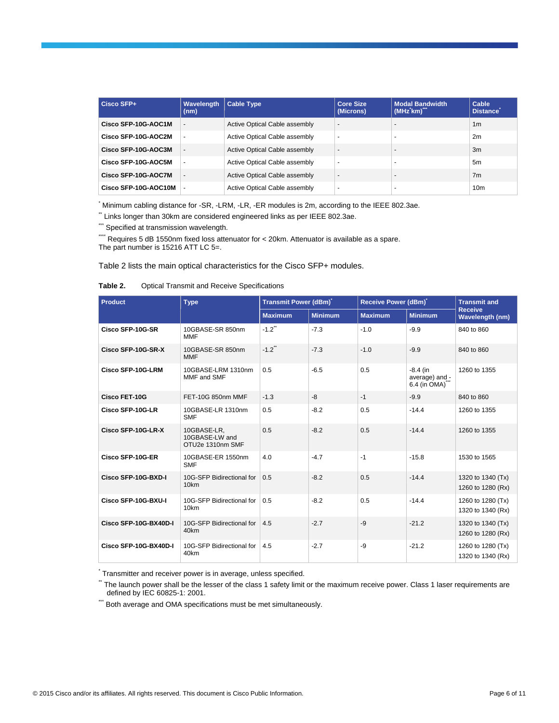| Cisco SFP+           | Wavelength<br>(nm)       | <b>Cable Type</b>             | <b>Core Size</b><br>(Microns) | <b>Modal Bandwidth</b><br>$(MHz$ $km)$ | Cable<br><b>Distance</b> |
|----------------------|--------------------------|-------------------------------|-------------------------------|----------------------------------------|--------------------------|
| Cisco SFP-10G-AOC1M  | $\overline{\phantom{a}}$ | Active Optical Cable assembly | <b>-</b>                      | $\overline{\phantom{0}}$               | 1 <sub>m</sub>           |
| Cisco SFP-10G-AOC2M  | $\overline{\phantom{a}}$ | Active Optical Cable assembly | $\overline{\phantom{a}}$      | -                                      | 2m                       |
| Cisco SFP-10G-AOC3M  | $\overline{a}$           | Active Optical Cable assembly | <b>-</b>                      | $\overline{\phantom{0}}$               | 3m                       |
| Cisco SFP-10G-AOC5M  | $\overline{\phantom{0}}$ | Active Optical Cable assembly | $\overline{\phantom{a}}$      | $\overline{\phantom{0}}$               | 5m                       |
| Cisco SFP-10G-AOC7M  | $\overline{\phantom{0}}$ | Active Optical Cable assembly | $\overline{a}$                | $\overline{\phantom{0}}$               | 7 <sub>m</sub>           |
| Cisco SFP-10G-AOC10M | $\overline{\phantom{0}}$ | Active Optical Cable assembly | $\overline{\phantom{a}}$      | ۰                                      | 10 <sub>m</sub>          |

\* Minimum cabling distance for -SR, -LRM, -LR, -ER modules is 2m, according to the IEEE 802.3ae.

\*\* Links longer than 30km are considered engineered links as per IEEE 802.3ae.

\*\*\* Specified at transmission wavelength.

\*\*\*\*\* Requires 5 dB 1550nm fixed loss attenuator for < 20km. Attenuator is available as a spare.

The part number is 15216 ATT LC 5=.

Table 2 lists the main optical characteristics for the Cisco SFP+ modules.

| Table 2. |  |  |  | <b>Optical Transmit and Receive Specifications</b> |
|----------|--|--|--|----------------------------------------------------|
|----------|--|--|--|----------------------------------------------------|

| <b>Product</b>        | <b>Type</b>                                       | Transmit Power (dBm) |                | Receive Power (dBm) |                                                | <b>Transmit and</b>                      |
|-----------------------|---------------------------------------------------|----------------------|----------------|---------------------|------------------------------------------------|------------------------------------------|
|                       |                                                   | <b>Maximum</b>       | <b>Minimum</b> | <b>Maximum</b>      | <b>Minimum</b>                                 | <b>Receive</b><br><b>Wavelength (nm)</b> |
| Cisco SFP-10G-SR      | 10GBASE-SR 850nm<br><b>MMF</b>                    | $-1.2$ <sup>**</sup> | $-7.3$         | $-1.0$              | $-9.9$                                         | 840 to 860                               |
| Cisco SFP-10G-SR-X    | 10GBASE-SR 850nm<br><b>MMF</b>                    | $-1.2$ **            | $-7.3$         | $-1.0$              | $-9.9$                                         | 840 to 860                               |
| Cisco SFP-10G-LRM     | 10GBASE-LRM 1310nm<br>MMF and SMF                 | 0.5                  | $-6.5$         | 0.5                 | $-8.4$ (in<br>average) and -<br>$6.4$ (in OMA) | 1260 to 1355                             |
| Cisco FET-10G         | FET-10G 850nm MMF                                 | $-1.3$               | -8             | $-1$                | $-9.9$                                         | 840 to 860                               |
| Cisco SFP-10G-LR      | 10GBASE-LR 1310nm<br><b>SMF</b>                   | 0.5                  | $-8.2$         | 0.5                 | $-14.4$                                        | 1260 to 1355                             |
| Cisco SFP-10G-LR-X    | 10GBASE-LR,<br>10GBASE-LW and<br>OTU2e 1310nm SMF | 0.5                  | $-8.2$         | 0.5                 | $-14.4$                                        | 1260 to 1355                             |
| Cisco SFP-10G-ER      | 10GBASE-ER 1550nm<br><b>SMF</b>                   | 4.0                  | $-4.7$         | $-1$                | $-15.8$                                        | 1530 to 1565                             |
| Cisco SFP-10G-BXD-I   | 10G-SFP Bidirectional for<br>10km                 | 0.5                  | $-8.2$         | 0.5                 | $-14.4$                                        | 1320 to 1340 (Tx)<br>1260 to 1280 (Rx)   |
| Cisco SFP-10G-BXU-I   | 10G-SFP Bidirectional for<br>10km                 | 0.5                  | $-8.2$         | 0.5                 | $-14.4$                                        | 1260 to 1280 (Tx)<br>1320 to 1340 (Rx)   |
| Cisco SFP-10G-BX40D-I | 10G-SFP Bidirectional for<br>40km                 | 4.5                  | $-2.7$         | $-9$                | $-21.2$                                        | 1320 to 1340 (Tx)<br>1260 to 1280 (Rx)   |
| Cisco SFP-10G-BX40D-I | 10G-SFP Bidirectional for<br>40km                 | 4.5                  | $-2.7$         | -9                  | $-21.2$                                        | 1260 to 1280 (Tx)<br>1320 to 1340 (Rx)   |

\* Transmitter and receiver power is in average, unless specified.

\*\* The launch power shall be the lesser of the class 1 safety limit or the maximum receive power. Class 1 laser requirements are defined by IEC 60825-1: 2001.

\*\*\* Both average and OMA specifications must be met simultaneously.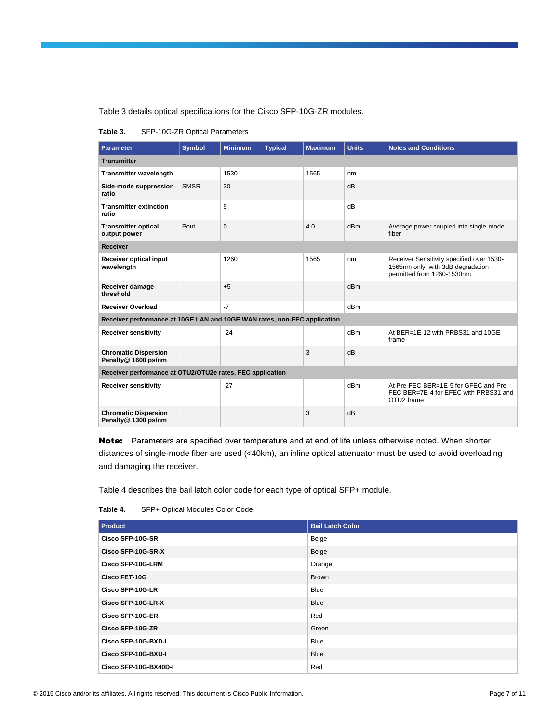Table 3 details optical specifications for the Cisco SFP-10G-ZR modules.

| SFP-10G-ZR Optical Parameters | Table 3. |  |  |  |
|-------------------------------|----------|--|--|--|
|-------------------------------|----------|--|--|--|

| <b>Parameter</b>                                                         | <b>Symbol</b> | <b>Minimum</b> | <b>Typical</b> | <b>Maximum</b> | <b>Units</b> | <b>Notes and Conditions</b>                                                                                  |  |
|--------------------------------------------------------------------------|---------------|----------------|----------------|----------------|--------------|--------------------------------------------------------------------------------------------------------------|--|
| <b>Transmitter</b>                                                       |               |                |                |                |              |                                                                                                              |  |
| <b>Transmitter wavelength</b>                                            |               | 1530           |                | 1565           | nm           |                                                                                                              |  |
| Side-mode suppression<br>ratio                                           | <b>SMSR</b>   | 30             |                |                | dB           |                                                                                                              |  |
| <b>Transmitter extinction</b><br>ratio                                   |               | 9              |                |                | dB           |                                                                                                              |  |
| <b>Transmitter optical</b><br>output power                               | Pout          | $\mathbf 0$    |                | 4.0            | dBm          | Average power coupled into single-mode<br>fiber                                                              |  |
| <b>Receiver</b>                                                          |               |                |                |                |              |                                                                                                              |  |
| <b>Receiver optical input</b><br>wavelength                              |               | 1260           |                | 1565           | nm           | Receiver Sensitivity specified over 1530-<br>1565nm only, with 3dB degradation<br>permitted from 1260-1530nm |  |
| Receiver damage<br>threshold                                             |               | $+5$           |                |                | dBm          |                                                                                                              |  |
| <b>Receiver Overload</b>                                                 |               | $-7$           |                |                | dBm          |                                                                                                              |  |
| Receiver performance at 10GE LAN and 10GE WAN rates, non-FEC application |               |                |                |                |              |                                                                                                              |  |
| <b>Receiver sensitivity</b>                                              |               | $-24$          |                |                | dBm          | At BER=1E-12 with PRBS31 and 10GE<br>frame                                                                   |  |
| <b>Chromatic Dispersion</b><br>Penalty@ 1600 ps/nm                       |               |                |                | 3              | dB           |                                                                                                              |  |
| Receiver performance at OTU2/OTU2e rates, FEC application                |               |                |                |                |              |                                                                                                              |  |
| <b>Receiver sensitivity</b>                                              |               | $-27$          |                |                | dBm          | At Pre-FEC BER=1E-5 for GFEC and Pre-<br>FEC BER=7E-4 for EFEC with PRBS31 and<br>OTU <sub>2</sub> frame     |  |
| <b>Chromatic Dispersion</b><br>Penalty@ 1300 ps/nm                       |               |                |                | 3              | dB           |                                                                                                              |  |

Note: Parameters are specified over temperature and at end of life unless otherwise noted. When shorter distances of single-mode fiber are used (<40km), an inline optical attenuator must be used to avoid overloading and damaging the receiver.

Table 4 describes the bail latch color code for each type of optical SFP+ module.

**Table 4.** SFP+ Optical Modules Color Code

| Product                  | <b>Bail Latch Color</b> |
|--------------------------|-------------------------|
| Cisco SFP-10G-SR         | Beige                   |
| Cisco SFP-10G-SR-X       | Beige                   |
| <b>Cisco SFP-10G-LRM</b> | Orange                  |
| <b>Cisco FET-10G</b>     | <b>Brown</b>            |
| Cisco SFP-10G-LR         | Blue                    |
| Cisco SFP-10G-LR-X       | <b>Blue</b>             |
| <b>Cisco SFP-10G-ER</b>  | Red                     |
| Cisco SFP-10G-ZR         | Green                   |
| Cisco SFP-10G-BXD-I      | <b>Blue</b>             |
| Cisco SFP-10G-BXU-I      | <b>Blue</b>             |
| Cisco SFP-10G-BX40D-I    | Red                     |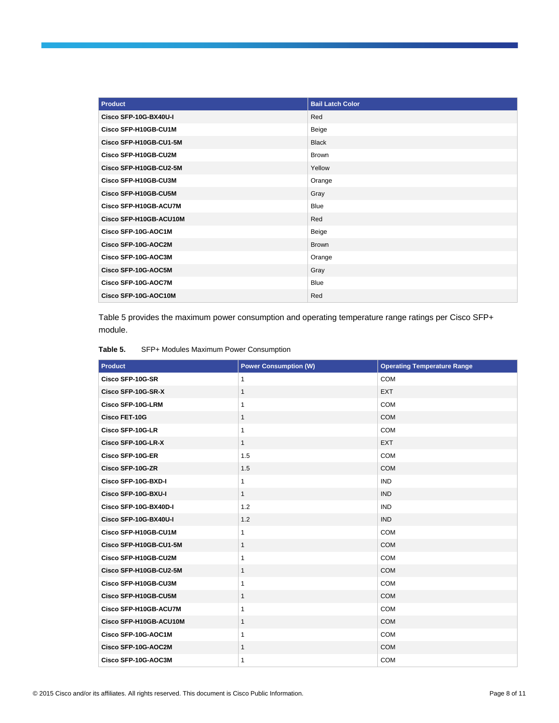| <b>Product</b>         | <b>Bail Latch Color</b> |
|------------------------|-------------------------|
| Cisco SFP-10G-BX40U-I  | Red                     |
| Cisco SFP-H10GB-CU1M   | Beige                   |
| Cisco SFP-H10GB-CU1-5M | <b>Black</b>            |
| Cisco SFP-H10GB-CU2M   | <b>Brown</b>            |
| Cisco SFP-H10GB-CU2-5M | Yellow                  |
| Cisco SFP-H10GB-CU3M   | Orange                  |
| Cisco SFP-H10GB-CU5M   | Gray                    |
| Cisco SFP-H10GB-ACU7M  | Blue                    |
| Cisco SFP-H10GB-ACU10M | Red                     |
| Cisco SFP-10G-AOC1M    | Beige                   |
| Cisco SFP-10G-AOC2M    | <b>Brown</b>            |
| Cisco SFP-10G-AOC3M    | Orange                  |
| Cisco SFP-10G-AOC5M    | Gray                    |
| Cisco SFP-10G-AOC7M    | Blue                    |
| Cisco SFP-10G-AOC10M   | Red                     |

Table 5 provides the maximum power consumption and operating temperature range ratings per Cisco SFP+ module.

| Table 5. |  | SFP+ Modules Maximum Power Consumption |  |
|----------|--|----------------------------------------|--|
|----------|--|----------------------------------------|--|

| <b>Product</b>         | <b>Power Consumption (W)</b> | <b>Operating Temperature Range</b> |
|------------------------|------------------------------|------------------------------------|
| Cisco SFP-10G-SR       | $\mathbf{1}$                 | <b>COM</b>                         |
| Cisco SFP-10G-SR-X     | $\mathbf{1}$                 | <b>EXT</b>                         |
| Cisco SFP-10G-LRM      | 1                            | <b>COM</b>                         |
| Cisco FET-10G          | $\mathbf{1}$                 | <b>COM</b>                         |
| Cisco SFP-10G-LR       | $\mathbf{1}$                 | <b>COM</b>                         |
| Cisco SFP-10G-LR-X     | $\mathbf{1}$                 | <b>EXT</b>                         |
| Cisco SFP-10G-ER       | 1.5                          | COM                                |
| Cisco SFP-10G-ZR       | 1.5                          | <b>COM</b>                         |
| Cisco SFP-10G-BXD-I    | 1                            | <b>IND</b>                         |
| Cisco SFP-10G-BXU-I    | $\mathbf{1}$                 | <b>IND</b>                         |
| Cisco SFP-10G-BX40D-I  | 1.2                          | <b>IND</b>                         |
| Cisco SFP-10G-BX40U-I  | 1.2                          | <b>IND</b>                         |
| Cisco SFP-H10GB-CU1M   | 1                            | <b>COM</b>                         |
| Cisco SFP-H10GB-CU1-5M | $\mathbf{1}$                 | <b>COM</b>                         |
| Cisco SFP-H10GB-CU2M   | 1                            | <b>COM</b>                         |
| Cisco SFP-H10GB-CU2-5M | $\mathbf{1}$                 | <b>COM</b>                         |
| Cisco SFP-H10GB-CU3M   | $\mathbf{1}$                 | <b>COM</b>                         |
| Cisco SFP-H10GB-CU5M   | $\mathbf{1}$                 | <b>COM</b>                         |
| Cisco SFP-H10GB-ACU7M  | 1                            | COM                                |
| Cisco SFP-H10GB-ACU10M | $\mathbf{1}$                 | <b>COM</b>                         |
| Cisco SFP-10G-AOC1M    | 1                            | <b>COM</b>                         |
| Cisco SFP-10G-AOC2M    | $\mathbf{1}$                 | <b>COM</b>                         |
| Cisco SFP-10G-AOC3M    | 1                            | <b>COM</b>                         |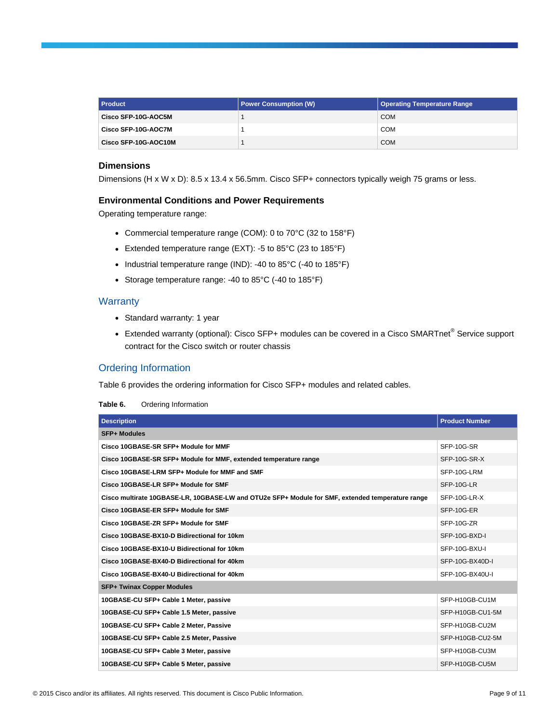| <b>Product</b>             | Power Consumption (W) | Operating Temperature Range |
|----------------------------|-----------------------|-----------------------------|
| <b>Cisco SFP-10G-AOC5M</b> |                       | <b>COM</b>                  |
| Cisco SFP-10G-AOC7M        |                       | COM                         |
| Cisco SFP-10G-AOC10M       |                       | <b>COM</b>                  |

## **Dimensions**

Dimensions (H x W x D): 8.5 x 13.4 x 56.5mm. Cisco SFP+ connectors typically weigh 75 grams or less.

#### **Environmental Conditions and Power Requirements**

Operating temperature range:

- Commercial temperature range (COM): 0 to 70°C (32 to 158°F)
- Extended temperature range (EXT): -5 to 85°C (23 to 185°F)
- Industrial temperature range (IND): -40 to 85°C (-40 to 185°F)
- Storage temperature range: -40 to 85°C (-40 to 185°F)

#### **Warranty**

- Standard warranty: 1 year
- Extended warranty (optional): Cisco SFP+ modules can be covered in a Cisco SMARTnet® Service support contract for the Cisco switch or router chassis

#### Ordering Information

Table 6 provides the ordering information for Cisco SFP+ modules and related cables.

#### **Table 6.** Ordering Information

| <b>Description</b>                                                                               | <b>Product Number</b> |  |
|--------------------------------------------------------------------------------------------------|-----------------------|--|
| <b>SFP+ Modules</b>                                                                              |                       |  |
| Cisco 10GBASE-SR SFP+ Module for MMF                                                             | SFP-10G-SR            |  |
| Cisco 10GBASE-SR SFP+ Module for MMF, extended temperature range                                 | SFP-10G-SR-X          |  |
| Cisco 10GBASE-LRM SFP+ Module for MMF and SMF                                                    | SFP-10G-LRM           |  |
| Cisco 10GBASE-LR SFP+ Module for SMF                                                             | SFP-10G-LR            |  |
| Cisco multirate 10GBASE-LR, 10GBASE-LW and OTU2e SFP+ Module for SMF, extended temperature range | SFP-10G-LR-X          |  |
| Cisco 10GBASE-ER SFP+ Module for SMF                                                             | SFP-10G-ER            |  |
| Cisco 10GBASE-ZR SFP+ Module for SMF                                                             | SFP-10G-ZR            |  |
| Cisco 10GBASE-BX10-D Bidirectional for 10km                                                      | SFP-10G-BXD-I         |  |
| Cisco 10GBASE-BX10-U Bidirectional for 10km                                                      | SFP-10G-BXU-I         |  |
| Cisco 10GBASE-BX40-D Bidirectional for 40km                                                      | SFP-10G-BX40D-I       |  |
| Cisco 10GBASE-BX40-U Bidirectional for 40km                                                      | SFP-10G-BX40U-I       |  |
| <b>SFP+ Twinax Copper Modules</b>                                                                |                       |  |
| 10GBASE-CU SFP+ Cable 1 Meter, passive                                                           | SFP-H10GB-CU1M        |  |
| 10GBASE-CU SFP+ Cable 1.5 Meter, passive                                                         | SFP-H10GB-CU1-5M      |  |
| 10GBASE-CU SFP+ Cable 2 Meter, Passive                                                           | SFP-H10GB-CU2M        |  |
| 10GBASE-CU SFP+ Cable 2.5 Meter, Passive                                                         | SFP-H10GB-CU2-5M      |  |
| 10GBASE-CU SFP+ Cable 3 Meter, passive                                                           | SFP-H10GB-CU3M        |  |
| 10GBASE-CU SFP+ Cable 5 Meter, passive                                                           | SFP-H10GB-CU5M        |  |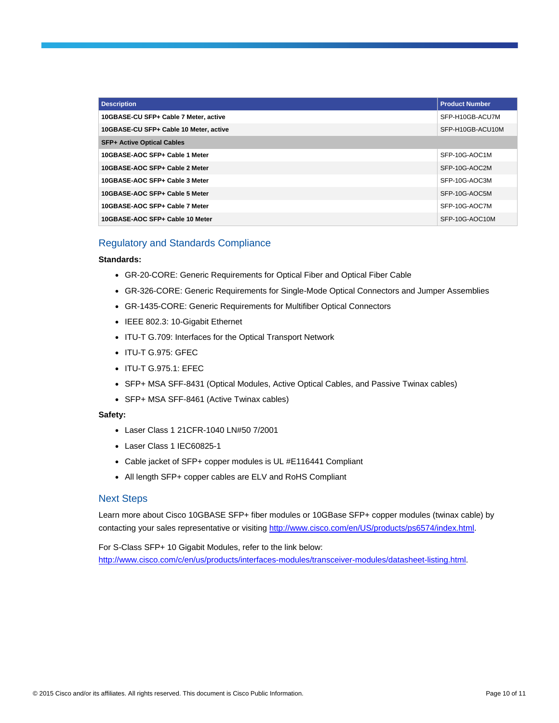| <b>Description</b>                     | <b>Product Number</b> |
|----------------------------------------|-----------------------|
| 10GBASE-CU SFP+ Cable 7 Meter, active  | SFP-H10GB-ACU7M       |
| 10GBASE-CU SFP+ Cable 10 Meter, active | SFP-H10GB-ACU10M      |
| <b>SFP+ Active Optical Cables</b>      |                       |
| 10GBASE-AOC SFP+ Cable 1 Meter         | SFP-10G-AOC1M         |
| 10GBASE-AOC SFP+ Cable 2 Meter         | SFP-10G-AOC2M         |
| 10GBASE-AOC SFP+ Cable 3 Meter         | SFP-10G-AOC3M         |
| 10GBASE-AOC SFP+ Cable 5 Meter         | SFP-10G-AOC5M         |
| 10GBASE-AOC SFP+ Cable 7 Meter         | SFP-10G-AOC7M         |
| 10GBASE-AOC SFP+ Cable 10 Meter        | SFP-10G-AOC10M        |

### Regulatory and Standards Compliance

#### **Standards:**

- GR-20-CORE: Generic Requirements for Optical Fiber and Optical Fiber Cable
- GR-326-CORE: Generic Requirements for Single-Mode Optical Connectors and Jumper Assemblies
- GR-1435-CORE: Generic Requirements for Multifiber Optical Connectors
- IEEE 802.3: 10-Gigabit Ethernet
- ITU-T G.709: Interfaces for the Optical Transport Network
- ITU-T G.975: GFEC
- ITU-T G.975.1: EFEC
- SFP+ MSA SFF-8431 (Optical Modules, Active Optical Cables, and Passive Twinax cables)
- SFP+ MSA SFF-8461 (Active Twinax cables)

#### **Safety:**

- Laser Class 1 21CFR-1040 LN#50 7/2001
- Laser Class 1 IEC60825-1
- Cable jacket of SFP+ copper modules is UL #E116441 Compliant
- All length SFP+ copper cables are ELV and RoHS Compliant

#### Next Steps

Learn more about Cisco 10GBASE SFP+ fiber modules or 10GBase SFP+ copper modules (twinax cable) by contacting your sales representative or visiting [http://www.cisco.com/en/US/products/ps6574/index.html.](http://www.cisco.com/en/US/products/ps6574/index.html)

For S-Class SFP+ 10 Gigabit Modules, refer to the link below: [http://www.cisco.com/c/en/us/products/interfaces-modules/transceiver-modules/datasheet-listing.html.](http://www.cisco.com/c/en/us/products/interfaces-modules/transceiver-modules/datasheet-listing.html)